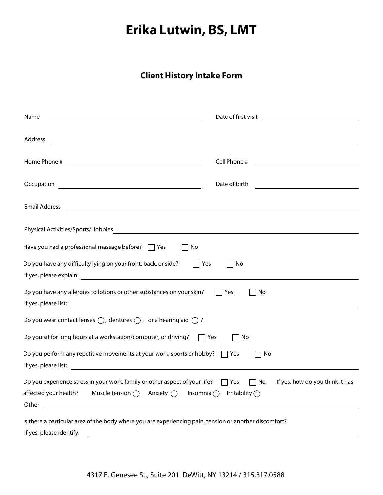## **Erika Lutwin, BS, LMT**

## **Client History Intake Form**

| Name<br><u> 1989 - Johann Stoff, Amerikaansk politiker († 1908)</u>                                                                                                                    | Date of first visit<br><u> 1980 - Jan Stein Stein Stein Stein Stein Stein Stein Stein Stein Stein Stein Stein Stein Stein Stein Stein S</u> |
|----------------------------------------------------------------------------------------------------------------------------------------------------------------------------------------|---------------------------------------------------------------------------------------------------------------------------------------------|
| Address<br><u> 1989 - Johann Barnett, fransk politiker (d. 1989)</u>                                                                                                                   |                                                                                                                                             |
| Home Phone #<br><u> 1989 - Johann Barn, mars eta bainar eta idazlea (</u>                                                                                                              | Cell Phone #<br><u> 1989 - Andrea State Barbara, amerikan per</u>                                                                           |
| Occupation<br><u> 1989 - Johann Stoff, deutscher Stoffen und der Stoffen und der Stoffen und der Stoffen und der Stoffen und der</u>                                                   | Date of birth<br><u> 1980 - Jan Alexandria (h. 1980).</u>                                                                                   |
| <b>Email Address</b>                                                                                                                                                                   |                                                                                                                                             |
| Physical Activities/Sports/Hobbies                                                                                                                                                     |                                                                                                                                             |
| Have you had a professional massage before? $\Box$ Yes<br>No                                                                                                                           |                                                                                                                                             |
| Do you have any difficulty lying on your front, back, or side?<br>Yes                                                                                                                  | No                                                                                                                                          |
| Do you have any allergies to lotions or other substances on your skin?<br>If yes, please list:                                                                                         | Yes<br>No                                                                                                                                   |
| Do you wear contact lenses $\bigcirc$ , dentures $\bigcirc$ , or a hearing aid $\bigcirc$ ?                                                                                            |                                                                                                                                             |
| Do you sit for long hours at a workstation/computer, or driving?<br>$\Box$ Yes                                                                                                         | No                                                                                                                                          |
| Do you perform any repetitive movements at your work, sports or hobby? $\Box$ Yes<br><u> 1989 - Johann Barn, mars et al. (</u><br>If yes, please list:                                 | No                                                                                                                                          |
| Do you experience stress in your work, family or other aspect of your life?<br>affected your health?<br>Muscle tension $\bigcirc$<br>Anxiety $\bigcap$<br>Insomnia $\bigcirc$<br>Other | If yes, how do you think it has<br>Yes<br>No<br>Irritability $\bigcap$                                                                      |
| Is there a particular area of the body where you are experiencing pain, tension or another discomfort?<br>If yes, please identify:                                                     |                                                                                                                                             |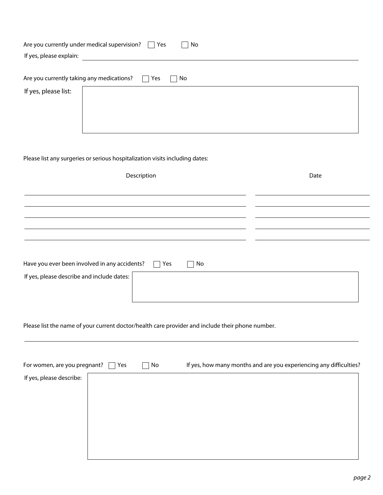| If yes, please explain:                                           | Are you currently under medical supervision? $\Box$ Yes<br>No |
|-------------------------------------------------------------------|---------------------------------------------------------------|
| Are you currently taking any medications?<br>If yes, please list: | $\Box$ Yes<br>No                                              |

## Please list any surgeries or serious hospitalization visits including dates:

| Description                                                                        | Date |
|------------------------------------------------------------------------------------|------|
|                                                                                    |      |
|                                                                                    |      |
|                                                                                    |      |
|                                                                                    |      |
|                                                                                    |      |
|                                                                                    |      |
| Have you ever been involved in any accidents?<br>$\Box$ Yes<br>No<br>$\mathcal{L}$ |      |
| If yes, please describe and include dates:                                         |      |
|                                                                                    |      |
|                                                                                    |      |

Please list the name of your current doctor/health care provider and include their phone number.

| For women, are you pregnant? | Yes | No<br>$\blacksquare$ | If yes, how many months and are you experiencing any difficulties? |
|------------------------------|-----|----------------------|--------------------------------------------------------------------|
| If yes, please describe:     |     |                      |                                                                    |
|                              |     |                      |                                                                    |
|                              |     |                      |                                                                    |
|                              |     |                      |                                                                    |
|                              |     |                      |                                                                    |
|                              |     |                      |                                                                    |
|                              |     |                      |                                                                    |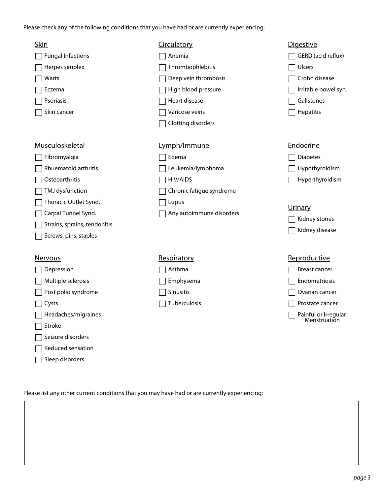Please check any of the following conditions that you have had or are currently experiencing:

| <b>Skin</b>                  | Circulatory              | <b>Digestive</b>                     |
|------------------------------|--------------------------|--------------------------------------|
| <b>Fungal Infections</b>     | Anemia                   | GERD (acid reflux)                   |
| Herpes simplex               | Thrombophlebitis         | Ulcers                               |
| Warts                        | Deep vein thrombosis     | Crohn disease                        |
| Eczema                       | High blood pressure      | Irritable bowel syn.                 |
| Psoriasis                    | Heart disease            | Gallstones                           |
| Skin cancer                  | Varicose veins           | Hepatitis                            |
|                              | Clotting disorders       |                                      |
| <b>Musculoskeletal</b>       | Lymph/Immune             | Endocrine                            |
| Fibromyalgia                 | Edema                    | <b>Diabetes</b>                      |
| Rhuematoid arthritis         | Leukemia/lymphoma        | Hypothyroidism                       |
| Osteoarthritis               | <b>HIV/AIDS</b>          | Hyperthyroidism                      |
| TMJ dysfunction              | Chronic fatigue syndrome |                                      |
| Thoracic Outlet Synd.        | Lupus                    |                                      |
| Carpal Tunnel Synd.          | Any autoimmune disorders | <b>Urinary</b>                       |
| Strains, sprains, tendonitis |                          | Kidney stones                        |
| Screws, pins, staples        |                          | Kidney disease                       |
| Nervous                      | Respiratory              | Reproductive                         |
| Depression                   | Asthma                   | <b>Breast cancer</b>                 |
| Multiple sclerosis           | Emphysema                | Endometriosis                        |
| Post polio syndrome          | Sinusitis                | Ovarian cancer                       |
| Cysts                        | Tuberculosis             | Prostate cancer                      |
| Headaches/migraines          |                          | Painful or Irregular<br>Menstruation |
| Stroke                       |                          |                                      |
| Seizure disorders            |                          |                                      |
| Reduced sensation            |                          |                                      |
| Sleep disorders              |                          |                                      |

Please list any other current conditions that you may have had or are currently experiencing: